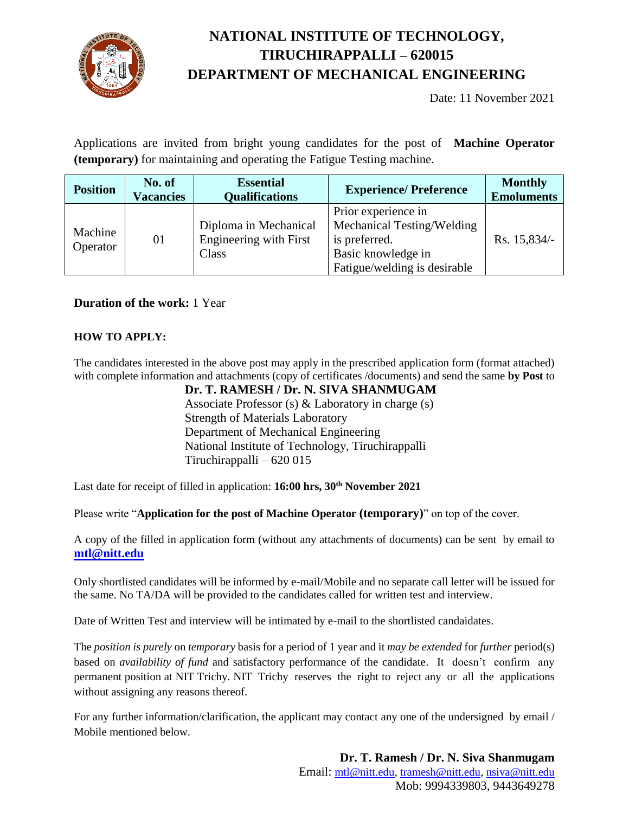

# **NATIONAL INSTITUTE OF TECHNOLOGY, TIRUCHIRAPPALLI – 620015 DEPARTMENT OF MECHANICAL ENGINEERING**

Date: 11 November 2021

Applications are invited from bright young candidates for the post of **Machine Operator (temporary)** for maintaining and operating the Fatigue Testing machine.

| <b>Position</b>     | No. of<br><b>Vacancies</b> | <b>Essential</b><br><b>Qualifications</b>                       | <b>Experience/Preference</b>                                                                                             | <b>Monthly</b><br><b>Emoluments</b> |
|---------------------|----------------------------|-----------------------------------------------------------------|--------------------------------------------------------------------------------------------------------------------------|-------------------------------------|
| Machine<br>Operator | 01                         | Diploma in Mechanical<br><b>Engineering with First</b><br>Class | Prior experience in<br>Mechanical Testing/Welding<br>is preferred.<br>Basic knowledge in<br>Fatigue/welding is desirable | Rs. 15,834/-                        |

### **Duration of the work:** 1 Year

#### **HOW TO APPLY:**

The candidates interested in the above post may apply in the prescribed application form (format attached) with complete information and attachments (copy of certificates /documents) and send the same **by Post** to

**Dr. T. RAMESH / Dr. N. SIVA SHANMUGAM** Associate Professor (s) & Laboratory in charge (s) Strength of Materials Laboratory Department of Mechanical Engineering National Institute of Technology, Tiruchirappalli Tiruchirappalli – 620 015

Last date for receipt of filled in application: **16:00 hrs, 30 th November 2021**

Please write "**Application for the post of Machine Operator (temporary)**" on top of the cover.

A copy of the filled in application form (without any attachments of documents) can be sent by email to **[mtl@nitt.edu](mailto:mtl@nitt.edu)**

Only shortlisted candidates will be informed by e-mail/Mobile and no separate call letter will be issued for the same. No TA/DA will be provided to the candidates called for written test and interview.

Date of Written Test and interview will be intimated by e-mail to the shortlisted candaidates.

The *position is purely* on *temporary* basis for a period of 1 year and it *may be extended* for *further* period(s) based on *availability of fund* and satisfactory performance of the candidate. It doesn't confirm any permanent position at NIT Trichy. NIT Trichy reserves the right to reject any or all the applications without assigning any reasons thereof.

For any further information/clarification, the applicant may contact any one of the undersigned by email / Mobile mentioned below.

> **Dr. T. Ramesh / Dr. N. Siva Shanmugam** Email: [mtl@nitt.edu,](mailto:mtl@nitt.edu) [tramesh@nitt.edu,](mailto:tramesh@nitt.edu) [nsiva@nitt.edu](mailto:nsiva@nitt.edu) Mob: 9994339803, 9443649278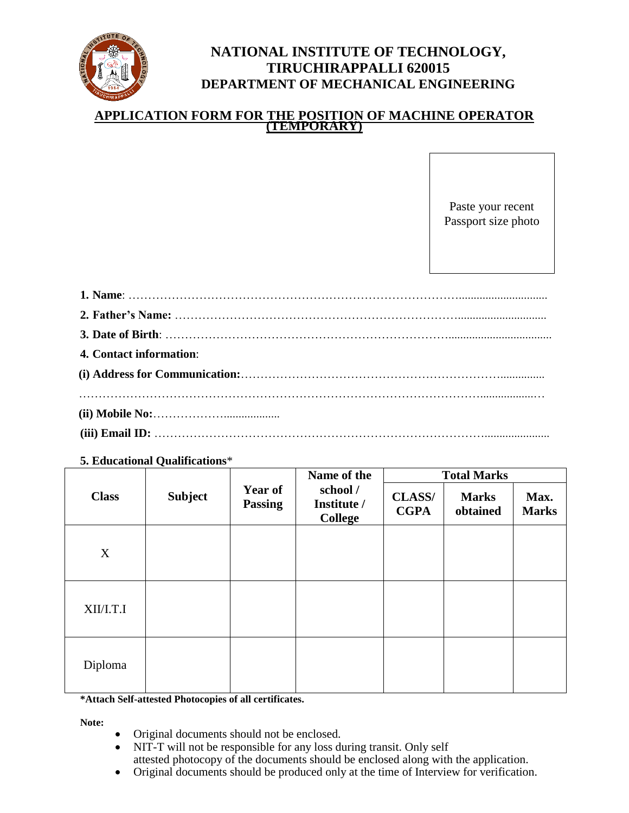

## **NATIONAL INSTITUTE OF TECHNOLOGY, TIRUCHIRAPPALLI 620015 DEPARTMENT OF MECHANICAL ENGINEERING**

## **APPLICATION FORM FOR THE POSITION OF MACHINE OPERATOR (TEMPORARY)**

Paste your recent Passport size photo

| 4. Contact information: |  |  |  |
|-------------------------|--|--|--|
|                         |  |  |  |
|                         |  |  |  |
|                         |  |  |  |

**5. Educational Qualifications**\*

|              | <b>Subject</b> | <b>Year of</b><br><b>Passing</b> | Name of the                               | <b>Total Marks</b>           |                          |                      |
|--------------|----------------|----------------------------------|-------------------------------------------|------------------------------|--------------------------|----------------------|
| <b>Class</b> |                |                                  | school /<br>Institute /<br><b>College</b> | <b>CLASS/</b><br><b>CGPA</b> | <b>Marks</b><br>obtained | Max.<br><b>Marks</b> |
| X            |                |                                  |                                           |                              |                          |                      |
| XII/I.T.I    |                |                                  |                                           |                              |                          |                      |
| Diploma      |                |                                  |                                           |                              |                          |                      |

**\*Attach Self-attested Photocopies of all certificates.**

**Note:**

- Original documents should not be enclosed.
- NIT-T will not be responsible for any loss during transit. Only self attested photocopy of the documents should be enclosed along with the application.
- Original documents should be produced only at the time of Interview for verification.